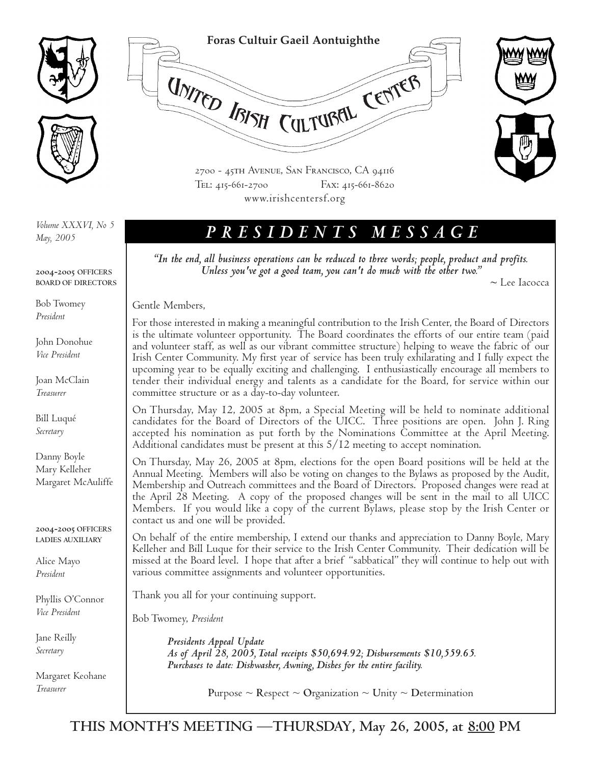

*May, 2005*

**2004-2005 OFFICERS BOARD OF DIRECTORS**

Bob Twomey *President*

John Donohue *Vice President*

Joan McClain *Treasurer*

Bill Luqué *Secretary*

Danny Boyle Mary Kelleher Margaret McAuliffe

**2004-2005 OFFICERS LADIES AUXILIARY**

Alice Mayo *President*

Phyllis O'Connor *Vice President*

Jane Reilly *Secretary*

Margaret Keohane *Treasurer*



**Foras Cultuir Gaeil Aontuighthe**

UNITED ISISH CULTURAL CENTER

2700 - 45th Avenue, San Francisco, CA 94116 Tel: 415-661-2700 Fax: 415-661-8620 www.irishcentersf.org

*"In the end, all business operations can be reduced to three words; people, product and profits. Unless you've got a good team, you can't do much with the other two." <sup>~</sup>*Lee Iacocca

Gentle Members,

For those interested in making a meaningful contribution to the Irish Center, the Board of Directors is the ultimate volunteer opportunity. The Board coordinates the efforts of our entire team (paid and volunteer staff, as well as our vibrant committee structure) helping to weave the fabric of our Irish Center Community. My first year of service has been truly exhilarating and I fully expect the upcoming year to be equally exciting and challenging. I enthusiastically encourage all members to tender their individual energy and talents as a candidate for the Board, for service within our committee structure or as a day-to-day volunteer.

On Thursday, May 12, 2005 at 8pm, a Special Meeting will be held to nominate additional candidates for the Board of Directors of the UICC. Three positions are open. John J. Ring accepted his nomination as put forth by the Nominations Committee at the April Meeting. Additional candidates must be present at this 5/12 meeting to accept nomination.

On Thursday, May 26, 2005 at 8pm, elections for the open Board positions will be held at the Annual Meeting. Members will also be voting on changes to the Bylaws as proposed by the Audit, Membership and Outreach committees and the Board of Directors. Proposed changes were read at the April 28 Meeting. A copy of the proposed changes will be sent in the mail to all UICC Members. If you would like a copy of the current Bylaws, please stop by the Irish Center or contact us and one will be provided.

On behalf of the entire membership, I extend our thanks and appreciation to Danny Boyle, Mary Kelleher and Bill Luque for their service to the Irish Center Community. Their dedication will be missed at the Board level. I hope that after a brief "sabbatical" they will continue to help out with various committee assignments and volunteer opportunities.

Thank you all for your continuing support.

Bob Twomey, *President*

*Presidents Appeal Update As of April 28, 2005, Total receipts \$50,694.92; Disbursements \$10,559.65. Purchases to date: Dishwasher, Awning, Dishes for the entire facility.*

**Purpose**  $\sim$  **Respect**  $\sim$  **Organization**  $\sim$  **Unity**  $\sim$  **Determination**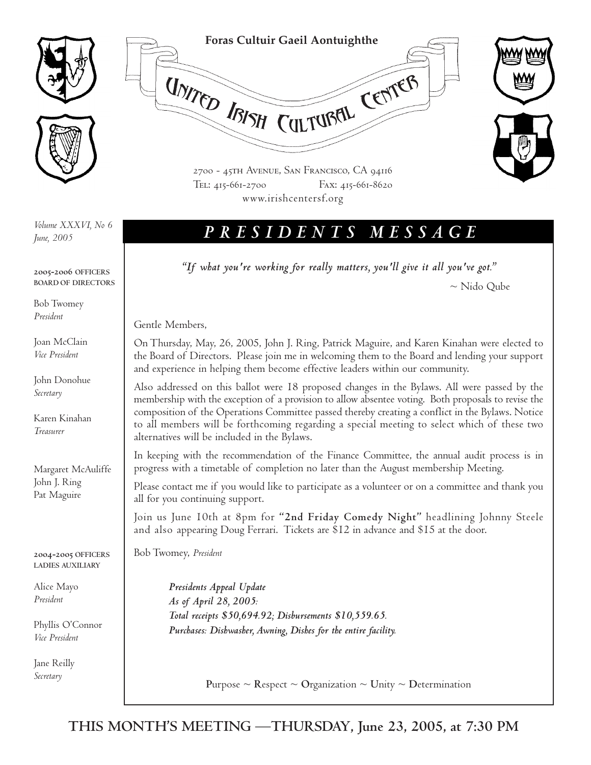



2700 - 45th Avenue, San Francisco, CA 94116 Tel: 415-661-2700 Fax: 415-661-8620 www.irishcentersf.org

**Foras Cultuir Gaeil Aontuighthe**

UNITED IBISH CULTUBEL CENTER

*June, 2005*

**2005-2006 OFFICERS BOARD OF DIRECTORS**

Bob Twomey *President*

Joan McClain *Vice President*

John Donohue *Secretary*

Karen Kinahan *Treasurer*

Margaret McAuliffe John J. Ring Pat Maguire

**2004-2005 OFFICERS LADIES AUXILIARY**

Alice Mayo *President*

Phyllis O'Connor *Vice President*

Jane Reilly *Secretary*

## *PRESIDENTS MESSAGE Volume XXXVI, No 6*

*"If what you're working for really matters, you'll give it all you've got."*

~ Nido Qube

Gentle Members,

On Thursday, May, 26, 2005, John J. Ring, Patrick Maguire, and Karen Kinahan were elected to the Board of Directors. Please join me in welcoming them to the Board and lending your support and experience in helping them become effective leaders within our community.

Also addressed on this ballot were 18 proposed changes in the Bylaws. All were passed by the membership with the exception of a provision to allow absentee voting. Both proposals to revise the composition of the Operations Committee passed thereby creating a conflict in the Bylaws. Notice to all members will be forthcoming regarding a special meeting to select which of these two alternatives will be included in the Bylaws.

In keeping with the recommendation of the Finance Committee, the annual audit process is in progress with a timetable of completion no later than the August membership Meeting.

Please contact me if you would like to participate as a volunteer or on a committee and thank you all for you continuing support.

Join us June 10th at 8pm for **"2nd Friday Comedy Night"** headlining Johnny Steele and also appearing Doug Ferrari. Tickets are \$12 in advance and \$15 at the door.

Bob Twomey, *President*

*Presidents Appeal Update As of April 28, 2005: Total receipts \$50,694.92; Disbursements \$10,559.65. Purchases: Dishwasher, Awning, Dishes for the entire facility.*

**Purpose ~ Respect ~ Organization ~ Unity ~ Determination**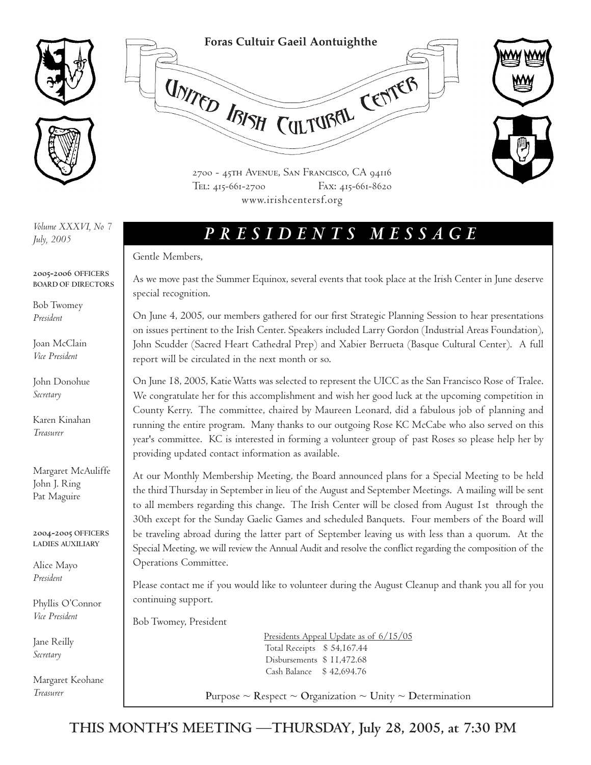

*July, 2005*

**2005-2006 OFFICERS BOARD OF DIRECTORS**

Bob Twomey *President*

Joan McClain *Vice President*

John Donohue *Secretary*

Karen Kinahan *Treasurer*

Margaret McAuliffe John J. Ring Pat Maguire

**2004-2005 OFFICERS LADIES AUXILIARY**

Alice Mayo *President*

Phyllis O'Connor *Vice President*

Jane Reilly *Secretary*

Margaret Keohane *Treasurer*

*PRESIDENTS MESSAGE Volume XXXVI, No 7*

**Foras Cultuir Gaeil Aontuighthe**

UNITED IBISH CULTUBELL CENTER

2700 - 45th Avenue, San Francisco, CA 94116 Tel: 415-661-2700 Fax: 415-661-8620 www.irishcentersf.org

### Gentle Members,

As we move past the Summer Equinox, several events that took place at the Irish Center in June deserve special recognition.

On June 4, 2005, our members gathered for our first Strategic Planning Session to hear presentations on issues pertinent to the Irish Center. Speakers included Larry Gordon (Industrial Areas Foundation), John Scudder (Sacred Heart Cathedral Prep) and Xabier Berrueta (Basque Cultural Center). A full report will be circulated in the next month or so.

On June 18, 2005, Katie Watts was selected to represent the UICC as the San Francisco Rose of Tralee. We congratulate her for this accomplishment and wish her good luck at the upcoming competition in County Kerry. The committee, chaired by Maureen Leonard, did a fabulous job of planning and running the entire program. Many thanks to our outgoing Rose KC McCabe who also served on this year's committee. KC is interested in forming a volunteer group of past Roses so please help her by providing updated contact information as available.

At our Monthly Membership Meeting, the Board announced plans for a Special Meeting to be held the third Thursday in September in lieu of the August and September Meetings. A mailing will be sent to all members regarding this change. The Irish Center will be closed from August 1st through the 30th except for the Sunday Gaelic Games and scheduled Banquets. Four members of the Board will be traveling abroad during the latter part of September leaving us with less than a quorum. At the Special Meeting, we will review the Annual Audit and resolve the conflict regarding the composition of the Operations Committee.

Please contact me if you would like to volunteer during the August Cleanup and thank you all for you continuing support.

Bob Twomey, President

Presidents Appeal Update as of 6/15/05 Total Receipts \$ 54,167.44 Disbursements \$ 11,472.68 Cash Balance \$ 42,694.76

**Purpose**  $\sim$  **Respect**  $\sim$  **Organization**  $\sim$  **Unity**  $\sim$  **Determination** 

**THIS MONTH'S MEETING —THURSDAY, July 28, 2005, at 7:30 PM**